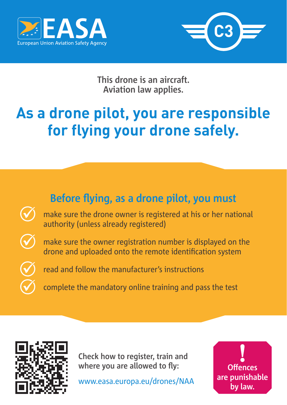



**This drone is an aircraft. Aviation law applies.**

## **As a drone pilot, you are responsible for flying your drone safely.**





**Check how to register, train and where you are allowed to fly:**

www.easa.europa.eu/drones/NAA